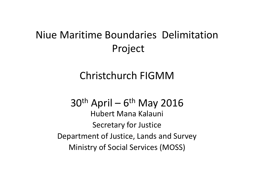#### Niue Maritime Boundaries Delimitation Project

#### Christchurch FIGMM

30<sup>th</sup> April – 6<sup>th</sup> May 2016 Hubert Mana Kalauni Secretary for Justice Department of Justice, Lands and Survey Ministry of Social Services (MOSS)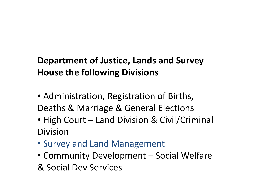#### **Department of Justice, Lands and Survey House the following Divisions**

- Administration, Registration of Births, Deaths & Marriage & General Elections
- High Court Land Division & Civil/Criminal Division
- Survey and Land Management
- Community Development Social Welfare & Social Dev Services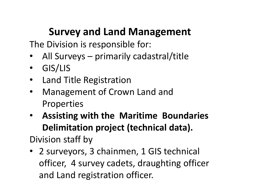#### **Survey and Land Management**

The Division is responsible for:

- All Surveys primarily cadastral/title
- GIS/LIS
- **Land Title Registration**
- Management of Crown Land and Properties
- **Assisting with the Maritime Boundaries Delimitation project (technical data).** Division staff by
- 2 surveyors, 3 chainmen, 1 GIS technical officer, 4 survey cadets, draughting officer and Land registration officer.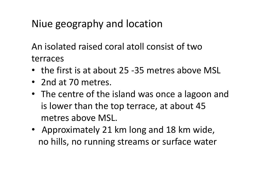#### Niue geography and location

An isolated raised coral atoll consist of two terraces

- the first is at about 25 -35 metres above MSL
- 2nd at 70 metres.
- The centre of the island was once a lagoon and is lower than the top terrace, at about 45 metres above MSL.
- Approximately 21 km long and 18 km wide, no hills, no running streams or surface water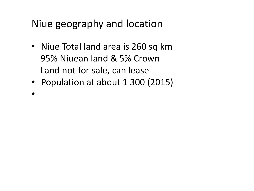Niue geography and location

- Niue Total land area is 260 sq km 95% Niuean land & 5% Crown Land not for sale, can lease
- Population at about 1 300 (2015)
- •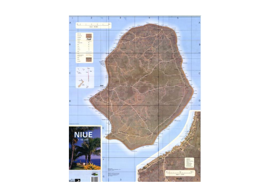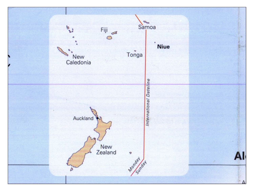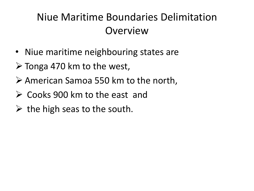#### Niue Maritime Boundaries Delimitation Overview

- Niue maritime neighbouring states are
- $\triangleright$  Tonga 470 km to the west,
- $\triangleright$  American Samoa 550 km to the north,
- $\triangleright$  Cooks 900 km to the east and
- $\triangleright$  the high seas to the south.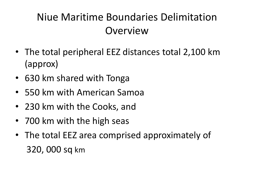## Niue Maritime Boundaries Delimitation **Overview**

- The total peripheral EEZ distances total 2,100 km (approx)
- 630 km shared with Tonga
- 550 km with American Samoa
- 230 km with the Cooks, and
- 700 km with the high seas
- The total EEZ area comprised approximately of 320, 000 sq km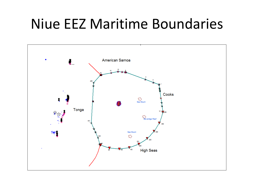# Niue EEZ Maritime Boundaries

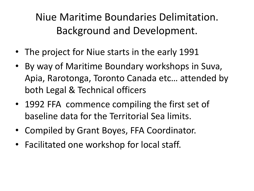Niue Maritime Boundaries Delimitation. Background and Development.

- The project for Niue starts in the early 1991
- By way of Maritime Boundary workshops in Suva, Apia, Rarotonga, Toronto Canada etc… attended by both Legal & Technical officers
- 1992 FFA commence compiling the first set of baseline data for the Territorial Sea limits.
- Compiled by Grant Boyes, FFA Coordinator.
- Facilitated one workshop for local staff.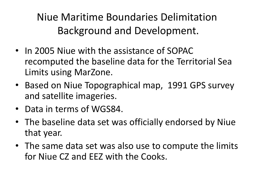Niue Maritime Boundaries Delimitation Background and Development.

- In 2005 Niue with the assistance of SOPAC recomputed the baseline data for the Territorial Sea Limits using MarZone.
- Based on Niue Topographical map, 1991 GPS survey and satellite imageries.
- Data in terms of WGS84.
- The baseline data set was officially endorsed by Niue that year.
- The same data set was also use to compute the limits for Niue CZ and EEZ with the Cooks.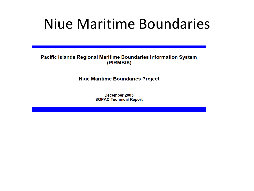# Niue Maritime Boundaries

Pacific Islands Regional Maritime Boundaries Information System (PIRMBIS)

**Niue Maritime Boundaries Project** 

December 2005 **SOPAC Technical Report**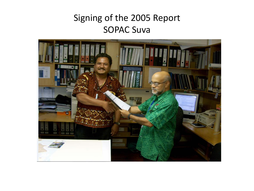#### Signing of the 2005 Report SOPAC Suva

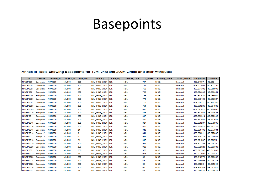# Basepoints

#### Annex II: Table Showing Basepoints for 12M, 24M and 200M Limits and their Attributes

| Ufi              | <b>Feature</b>   | <b>Feature Id</b> | Object Id       | <b>Mar Dist</b> | <b>Accuracy</b>      | Category   | <b>Feature Type</b> | Cp Index | <b>Country Name</b> | <b>Island Name</b> | Longitude    | Latitude     |
|------------------|------------------|-------------------|-----------------|-----------------|----------------------|------------|---------------------|----------|---------------------|--------------------|--------------|--------------|
| NIUBP0001        | <b>Basepoint</b> | <b>NIU00001</b>   | <b>NIU001</b>   | 200             | <b>NIU IKNS 2001</b> | ISL        | <b>NBL</b>          | 717      | <b>NIUE</b>         | Niue atoll         | -169.84797   | $-18.9524$   |
| NIUBP0002        | <b>Basepoint</b> | <b>NIU00001</b>   | <b>NIU001</b>   | 200             | <b>NIU IKNS 2001</b> | <b>ISL</b> | <b>NBL</b>          | 722      | <b>NIUE</b>         | Niue atoll         | -169.852082  | -18.952758   |
| NIUBP0003        | Basepoint        | <b>NIU00001</b>   | <b>NIU001</b>   | 24              | NIU IKNS 2001        | <b>ISL</b> | <b>NBL</b>          | 760      | <b>NIUE</b>         | Niue atoll         | -169.874302  | -18.958098   |
| NIUBP0004        | <b>Basepoint</b> | <b>NIU00001</b>   | <b>NIU001</b>   | 200             | <b>NIU IKNS 2001</b> | <b>ISL</b> | <b>NBL</b>          | 766      | <b>NIUE</b>         | Niue atoll         | -169.876686  | -18.958651   |
| NIUBP0005        | <b>Basepoint</b> | <b>NIU00001</b>   | <b>NIU001</b>   | 200             | <b>NIU IKNS 2001</b> | <b>ISL</b> | <b>NBL</b>          | 768      | <b>NIUE</b>         | Niue atoll         | -169.877639  | -18.958969   |
| NIUBP0006        | <b>Basepoint</b> | <b>NIU00001</b>   | <b>NIU001</b>   | 200             | NIU IKNS 2001        | <b>ISL</b> | <b>NBL</b>          | 771      | <b>NIUE</b>         | Niue atoll         | -169.879183  | -18.959827   |
| NIUBP0007        | <b>Basepoint</b> | <b>NIU00001</b>   | <b>NIU001</b>   | 200             | NIU IKNS 2001        | <b>ISL</b> | <b>NBL</b>          | 776      | <b>NIUE</b>         | Niue atoll         | -169,88071   | -18.960743   |
| NIUBP0008        | <b>Basepoint</b> | <b>NIU00001</b>   | <b>NIU001</b>   | 200             | <b>NIU IKNS 2001</b> | ISL        | <b>NBL</b>          | 791      | <b>NIUE</b>         | Niue atoll         | -169.886289  | -18.964936   |
| NIUBP0009        | <b>Basepoint</b> | <b>NIU00001</b>   | <b>NIU001</b>   | 200             | <b>NIU IKNS 2001</b> | <b>ISL</b> | <b>NBL</b>          | 810      | <b>NIUE</b>         | Niue atoll         | -169.891825  | $-18.969603$ |
| NIUBP0010        | <b>Basepoint</b> | <b>NIU00001</b>   | <b>NIU001</b>   | 200             | <b>NIU IKNS 2001</b> | <b>ISL</b> | <b>NBL</b>          | 816      | <b>NIUE</b>         | Niue atoll         | -169.892867  | -18.970523   |
| NIUBP0011        | <b>Basepoint</b> | <b>NIU00001</b>   | <b>NIU001</b>   | 200             | <b>NIU IKNS 2001</b> | ISL        | <b>NBL</b>          | 817      | <b>NIUE</b>         | Niue atoll         | -169.893314  | -18.970948   |
| NIUBP0012        | <b>Basepoint</b> | <b>NIU00001</b>   | <b>NIU001</b>   | 200             | <b>NIU IKNS 2001</b> | ISL        | <b>NBL</b>          | 820      | <b>NIUE</b>         | Niue atoll         | -169.893987  | -18.971647   |
| NIUBP0013        | <b>Basepoint</b> | <b>NIU00001</b>   | <b>NIU001</b>   | 200             | NIU IKNS 2001        | <b>ISL</b> | <b>NBL</b>          | 827      | <b>NIUE</b>         | Niue atoll         | -169.895267  | -18.973099   |
| NIUBP0014        | <b>Basepoint</b> | <b>NIU00001</b>   | <b>NIU001</b>   | 200             | NIU IKNS 2001        | <b>ISL</b> | <b>NBL</b>          | 830      | <b>NIUE</b>         | Niue atoll         | -169.895816  | -18.973723   |
| NIUBP0015        | <b>Basepoint</b> | <b>NIU00001</b>   | <b>NIU001</b>   | 24              | <b>NIU IKNS 2001</b> | <b>ISL</b> | <b>NBL</b>          | 840      | <b>NIUE</b>         | Niue atoll         | -169.898496  | $-18.977304$ |
| NIUBP0016        | Basept12         | <b>NIU00001</b>   | <b>NIU001</b>   | o               | <b>NIU_IKNS_2001</b> | <b>ISL</b> | <b>NBL</b>          | 841      | <b>NIUE</b>         | Niue atoll         | $-169.89891$ | -18.977897   |
| NIUBP0017        | Basept12         | <b>NIU00001</b>   | <b>NIU001</b>   | O               | NIU IKNS 2001        | <b>ISL</b> | <b>NBL</b>          | 911      | <b>NIUE</b>         | Niue atoll         | -169.918716  | $-19.004028$ |
| NIUBP0018        | Basepoint        | <b>NIU00001</b>   | <b>NIU001</b>   | 24              | <b>NIU_IKNS_2001</b> | ISL        | <b>NBL</b>          | 917      | <b>NIUE</b>         | Niue atoll         | -169.921097  | $-19.00675$  |
| NIUBP0019        | <b>Basepoint</b> | <b>NIU00001</b>   | <b>NIU001</b>   | 200             | NIU IKNS 2001        | <b>ISL</b> | <b>NBL</b>          | 918      | <b>NIUE</b>         | Niue atoll         | -169.922339  | $-19.00828$  |
| NIUBP0020        | Basepoint        | <b>NIU00001</b>   | <b>NIU001</b>   | 200             | NIU IKNS 2001        | <b>ISL</b> | <b>NBL</b>          | 920      | <b>NIUE</b>         | Niue atoll         | -169.922823  | $-19.009303$ |
| NIUBP0021        | <b>Basepoint</b> | <b>NIU00001</b>   | <b>NIU001</b>   | 200             | <b>NIU_IKNS_2001</b> | <b>ISL</b> | <b>NBL</b>          | 926      | <b>NIUE</b>         | Niue atoll         | -169.923536  | $-19.011009$ |
| NIUBP0022        | <b>Basepoint</b> | <b>NIU00001</b>   | <b>NIU001</b>   | 24              | <b>NIU_IKNS_2001</b> | <b>ISL</b> | <b>NBL</b>          | 928      | <b>NIUE</b>         | Niue atoll         | -169.923699  | $-19.01148$  |
| NIUBP0023        | <b>Basepoint</b> | <b>NIU00001</b>   | <b>NIU001</b>   | 200             | NIU IKNS 2001        | <b>ISL</b> | <b>NBL</b>          | 63       | <b>NIUE</b>         | Niue atoll         | -169.949779  | -19.073682   |
| NIUBP0024        | <b>Basepoint</b> | <b>NIU00001</b>   | <b>NIU001</b>   | 200             | NIU IKNS 2001        | ISL        | <b>NBL</b>          | 64       | <b>NIUE</b>         | Niue atoll         | -169.949998  | $-19.074313$ |
| NIUBP0025        | <b>Basepoint</b> | <b>NIU00001</b>   | <b>NIU001</b>   | 200             | NIU IKNS 2001        | <b>ISL</b> | <b>NBL</b>          | 65       | <b>NIUE</b>         | Niue atoll         | $-169.95006$ | $-19.075048$ |
| NIUBP0026        | <b>Basepoint</b> | <b>NIU00001</b>   | <b>NIU001</b>   | 200             | NIU IKNS 2001        | <b>ISL</b> | <b>NBL</b>          | 66       | <b>NIUE</b>         | Niue atoll         | -169.949744  | $-19.075917$ |
| <b>MILIODOO?</b> | <b>Bonnevint</b> | <b>NULIODOO1</b>  | <b>MILLIODA</b> | 24              | MILL IMMIC DODA TO   |            | <b>MIDI</b>         | co       | <b>MILLE</b>        | <b>Klima atall</b> | 400 040449 L | 10.070515    |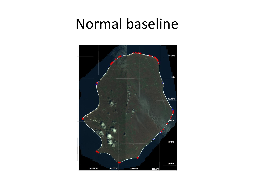## Normal baseline

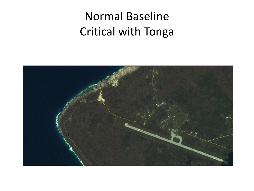## Normal Baseline Critical with Tonga

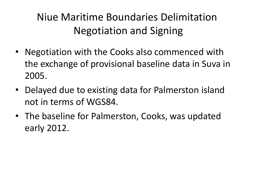## Niue Maritime Boundaries Delimitation Negotiation and Signing

- Negotiation with the Cooks also commenced with the exchange of provisional baseline data in Suva in 2005.
- Delayed due to existing data for Palmerston island not in terms of WGS84.
- The baseline for Palmerston, Cooks, was updated early 2012.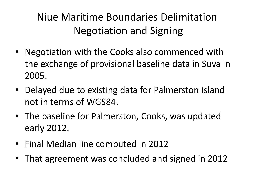## Niue Maritime Boundaries Delimitation Negotiation and Signing

- Negotiation with the Cooks also commenced with the exchange of provisional baseline data in Suva in 2005.
- Delayed due to existing data for Palmerston island not in terms of WGS84.
- The baseline for Palmerston, Cooks, was updated early 2012.
- Final Median line computed in 2012
- That agreement was concluded and signed in 2012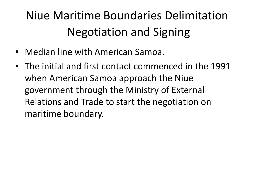# Niue Maritime Boundaries Delimitation Negotiation and Signing

- Median line with American Samoa.
- The initial and first contact commenced in the 1991 when American Samoa approach the Niue government through the Ministry of External Relations and Trade to start the negotiation on maritime boundary.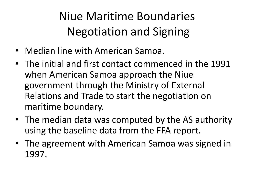Niue Maritime Boundaries Negotiation and Signing

- Median line with American Samoa.
- The initial and first contact commenced in the 1991 when American Samoa approach the Niue government through the Ministry of External Relations and Trade to start the negotiation on maritime boundary.
- The median data was computed by the AS authority using the baseline data from the FFA report.
- The agreement with American Samoa was signed in 1997.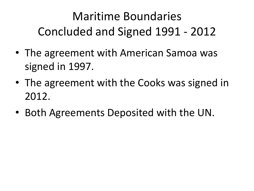## Maritime Boundaries Concluded and Signed 1991 - 2012

- The agreement with American Samoa was signed in 1997.
- The agreement with the Cooks was signed in 2012.
- Both Agreements Deposited with the UN.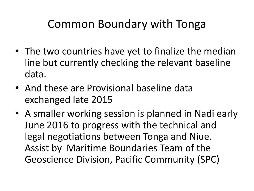## Common Boundary with Tonga

- The two countries have yet to finalize the median line but currently checking the relevant baseline data.
- And these are Provisional baseline data exchanged late 2015
- A smaller working session is planned in Nadi early June 2016 to progress with the technical and legal negotiations between Tonga and Niue. Assist by Maritime Boundaries Team of the Geoscience Division, Pacific Community (SPC)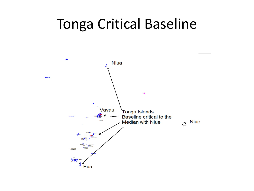# Tonga Critical Baseline

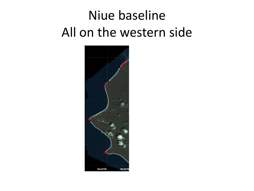# Niue baseline All on the western side